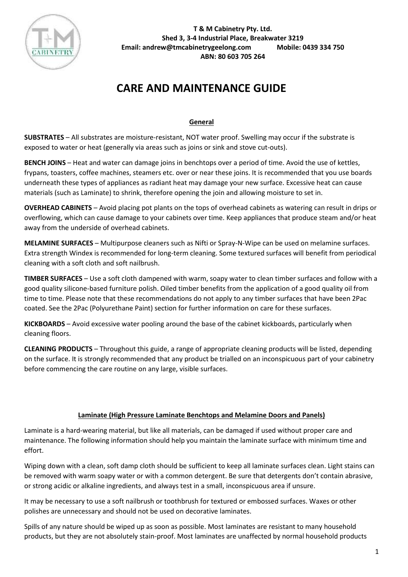

# **CARE AND MAINTENANCE GUIDE**

# **General**

**SUBSTRATES** – All substrates are moisture-resistant, NOT water proof. Swelling may occur if the substrate is exposed to water or heat (generally via areas such as joins or sink and stove cut-outs).

**BENCH JOINS** – Heat and water can damage joins in benchtops over a period of time. Avoid the use of kettles, frypans, toasters, coffee machines, steamers etc. over or near these joins. It is recommended that you use boards underneath these types of appliances as radiant heat may damage your new surface. Excessive heat can cause materials (such as Laminate) to shrink, therefore opening the join and allowing moisture to set in.

**OVERHEAD CABINETS** – Avoid placing pot plants on the tops of overhead cabinets as watering can result in drips or overflowing, which can cause damage to your cabinets over time. Keep appliances that produce steam and/or heat away from the underside of overhead cabinets.

**MELAMINE SURFACES** – Multipurpose cleaners such as Nifti or Spray-N-Wipe can be used on melamine surfaces. Extra strength Windex is recommended for long-term cleaning. Some textured surfaces will benefit from periodical cleaning with a soft cloth and soft nailbrush.

**TIMBER SURFACES** – Use a soft cloth dampened with warm, soapy water to clean timber surfaces and follow with a good quality silicone-based furniture polish. Oiled timber benefits from the application of a good quality oil from time to time. Please note that these recommendations do not apply to any timber surfaces that have been 2Pac coated. See the 2Pac (Polyurethane Paint) section for further information on care for these surfaces.

**KICKBOARDS** – Avoid excessive water pooling around the base of the cabinet kickboards, particularly when cleaning floors.

**CLEANING PRODUCTS** – Throughout this guide, a range of appropriate cleaning products will be listed, depending on the surface. It is strongly recommended that any product be trialled on an inconspicuous part of your cabinetry before commencing the care routine on any large, visible surfaces.

## **Laminate (High Pressure Laminate Benchtops and Melamine Doors and Panels)**

Laminate is a hard-wearing material, but like all materials, can be damaged if used without proper care and maintenance. The following information should help you maintain the laminate surface with minimum time and effort.

Wiping down with a clean, soft damp cloth should be sufficient to keep all laminate surfaces clean. Light stains can be removed with warm soapy water or with a common detergent. Be sure that detergents don't contain abrasive, or strong acidic or alkaline ingredients, and always test in a small, inconspicuous area if unsure.

It may be necessary to use a soft nailbrush or toothbrush for textured or embossed surfaces. Waxes or other polishes are unnecessary and should not be used on decorative laminates.

Spills of any nature should be wiped up as soon as possible. Most laminates are resistant to many household products, but they are not absolutely stain-proof. Most laminates are unaffected by normal household products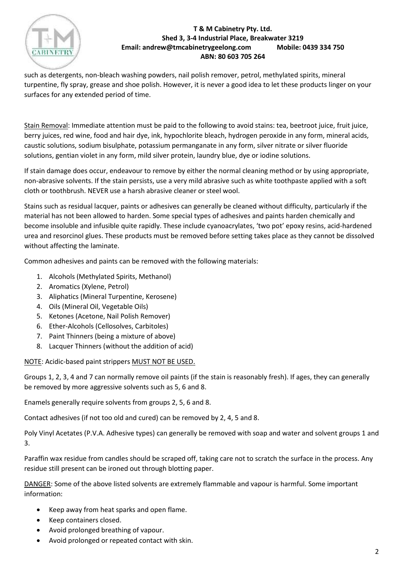

such as detergents, non-bleach washing powders, nail polish remover, petrol, methylated spirits, mineral turpentine, fly spray, grease and shoe polish. However, it is never a good idea to let these products linger on your surfaces for any extended period of time.

Stain Removal: Immediate attention must be paid to the following to avoid stains: tea, beetroot juice, fruit juice, berry juices, red wine, food and hair dye, ink, hypochlorite bleach, hydrogen peroxide in any form, mineral acids, caustic solutions, sodium bisulphate, potassium permanganate in any form, silver nitrate or silver fluoride solutions, gentian violet in any form, mild silver protein, laundry blue, dye or iodine solutions.

If stain damage does occur, endeavour to remove by either the normal cleaning method or by using appropriate, non-abrasive solvents. If the stain persists, use a very mild abrasive such as white toothpaste applied with a soft cloth or toothbrush. NEVER use a harsh abrasive cleaner or steel wool.

Stains such as residual lacquer, paints or adhesives can generally be cleaned without difficulty, particularly if the material has not been allowed to harden. Some special types of adhesives and paints harden chemically and become insoluble and infusible quite rapidly. These include cyanoacrylates, 'two pot' epoxy resins, acid-hardened urea and resorcinol glues. These products must be removed before setting takes place as they cannot be dissolved without affecting the laminate.

Common adhesives and paints can be removed with the following materials:

- 1. Alcohols (Methylated Spirits, Methanol)
- 2. Aromatics (Xylene, Petrol)
- 3. Aliphatics (Mineral Turpentine, Kerosene)
- 4. Oils (Mineral Oil, Vegetable Oils)
- 5. Ketones (Acetone, Nail Polish Remover)
- 6. Ether-Alcohols (Cellosolves, Carbitoles)
- 7. Paint Thinners (being a mixture of above)
- 8. Lacquer Thinners (without the addition of acid)

NOTE: Acidic-based paint strippers MUST NOT BE USED.

Groups 1, 2, 3, 4 and 7 can normally remove oil paints (if the stain is reasonably fresh). If ages, they can generally be removed by more aggressive solvents such as 5, 6 and 8.

Enamels generally require solvents from groups 2, 5, 6 and 8.

Contact adhesives (if not too old and cured) can be removed by 2, 4, 5 and 8.

Poly Vinyl Acetates (P.V.A. Adhesive types) can generally be removed with soap and water and solvent groups 1 and 3.

Paraffin wax residue from candles should be scraped off, taking care not to scratch the surface in the process. Any residue still present can be ironed out through blotting paper.

DANGER: Some of the above listed solvents are extremely flammable and vapour is harmful. Some important information:

- Keep away from heat sparks and open flame.
- Keep containers closed.
- Avoid prolonged breathing of vapour.
- Avoid prolonged or repeated contact with skin.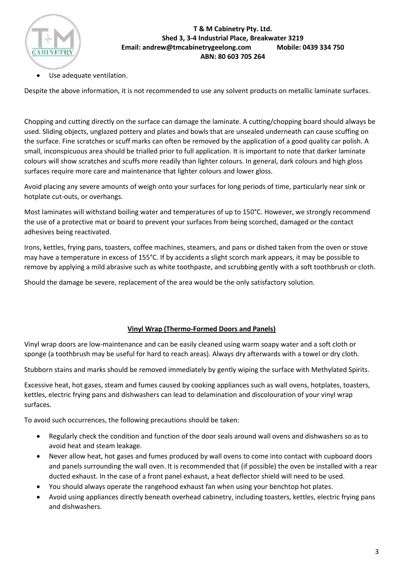

Use adequate ventilation.

Despite the above information, it is not recommended to use any solvent products on metallic laminate surfaces.

Chopping and cutting directly on the surface can damage the laminate. A cutting/chopping board should always be used. Sliding objects, unglazed pottery and plates and bowls that are unsealed underneath can cause scuffing on the surface. Fine scratches or scuff marks can often be removed by the application of a good quality car polish. A small, inconspicuous area should be trialled prior to full application. It is important to note that darker laminate colours will show scratches and scuffs more readily than lighter colours. In general, dark colours and high gloss surfaces require more care and maintenance that lighter colours and lower gloss.

Avoid placing any severe amounts of weigh onto your surfaces for long periods of time, particularly near sink or hotplate cut-outs, or overhangs.

Most laminates will withstand boiling water and temperatures of up to 150°C. However, we strongly recommend the use of a protective mat or board to prevent your surfaces from being scorched, damaged or the contact adhesives being reactivated.

Irons, kettles, frying pans, toasters, coffee machines, steamers, and pans or dished taken from the oven or stove may have a temperature in excess of 155°C. If by accidents a slight scorch mark appears, it may be possible to remove by applying a mild abrasive such as white toothpaste, and scrubbing gently with a soft toothbrush or cloth.

Should the damage be severe, replacement of the area would be the only satisfactory solution.

## **Vinyl Wrap (Thermo-Formed Doors and Panels)**

Vinyl wrap doors are low-maintenance and can be easily cleaned using warm soapy water and a soft cloth or sponge (a toothbrush may be useful for hard to reach areas). Always dry afterwards with a towel or dry cloth.

Stubborn stains and marks should be removed immediately by gently wiping the surface with Methylated Spirits.

Excessive heat, hot gases, steam and fumes caused by cooking appliances such as wall ovens, hotplates, toasters, kettles, electric frying pans and dishwashers can lead to delamination and discolouration of your vinyl wrap surfaces.

To avoid such occurrences, the following precautions should be taken:

- Regularly check the condition and function of the door seals around wall ovens and dishwashers so as to avoid heat and steam leakage.
- Never allow heat, hot gases and fumes produced by wall ovens to come into contact with cupboard doors and panels surrounding the wall oven. It is recommended that (if possible) the oven be installed with a rear ducted exhaust. In the case of a front panel exhaust, a heat deflector shield will need to be used.
- You should always operate the rangehood exhaust fan when using your benchtop hot plates.
- Avoid using appliances directly beneath overhead cabinetry, including toasters, kettles, electric frying pans and dishwashers.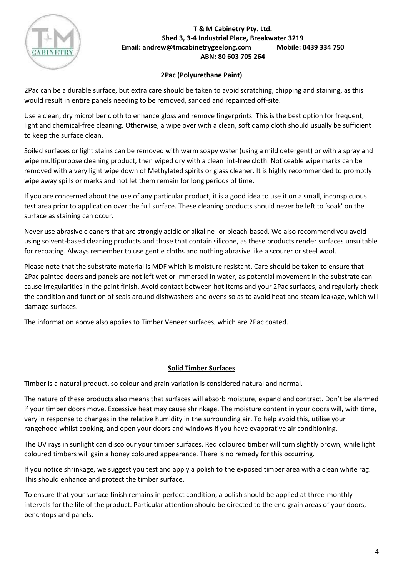

# **2Pac (Polyurethane Paint)**

2Pac can be a durable surface, but extra care should be taken to avoid scratching, chipping and staining, as this would result in entire panels needing to be removed, sanded and repainted off-site.

Use a clean, dry microfiber cloth to enhance gloss and remove fingerprints. This is the best option for frequent, light and chemical-free cleaning. Otherwise, a wipe over with a clean, soft damp cloth should usually be sufficient to keep the surface clean.

Soiled surfaces or light stains can be removed with warm soapy water (using a mild detergent) or with a spray and wipe multipurpose cleaning product, then wiped dry with a clean lint-free cloth. Noticeable wipe marks can be removed with a very light wipe down of Methylated spirits or glass cleaner. It is highly recommended to promptly wipe away spills or marks and not let them remain for long periods of time.

If you are concerned about the use of any particular product, it is a good idea to use it on a small, inconspicuous test area prior to application over the full surface. These cleaning products should never be left to 'soak' on the surface as staining can occur.

Never use abrasive cleaners that are strongly acidic or alkaline- or bleach-based. We also recommend you avoid using solvent-based cleaning products and those that contain silicone, as these products render surfaces unsuitable for recoating. Always remember to use gentle cloths and nothing abrasive like a scourer or steel wool.

Please note that the substrate material is MDF which is moisture resistant. Care should be taken to ensure that 2Pac painted doors and panels are not left wet or immersed in water, as potential movement in the substrate can cause irregularities in the paint finish. Avoid contact between hot items and your 2Pac surfaces, and regularly check the condition and function of seals around dishwashers and ovens so as to avoid heat and steam leakage, which will damage surfaces.

The information above also applies to Timber Veneer surfaces, which are 2Pac coated.

# **Solid Timber Surfaces**

Timber is a natural product, so colour and grain variation is considered natural and normal.

The nature of these products also means that surfaces will absorb moisture, expand and contract. Don't be alarmed if your timber doors move. Excessive heat may cause shrinkage. The moisture content in your doors will, with time, vary in response to changes in the relative humidity in the surrounding air. To help avoid this, utilise your rangehood whilst cooking, and open your doors and windows if you have evaporative air conditioning.

The UV rays in sunlight can discolour your timber surfaces. Red coloured timber will turn slightly brown, while light coloured timbers will gain a honey coloured appearance. There is no remedy for this occurring.

If you notice shrinkage, we suggest you test and apply a polish to the exposed timber area with a clean white rag. This should enhance and protect the timber surface.

To ensure that your surface finish remains in perfect condition, a polish should be applied at three-monthly intervals for the life of the product. Particular attention should be directed to the end grain areas of your doors, benchtops and panels.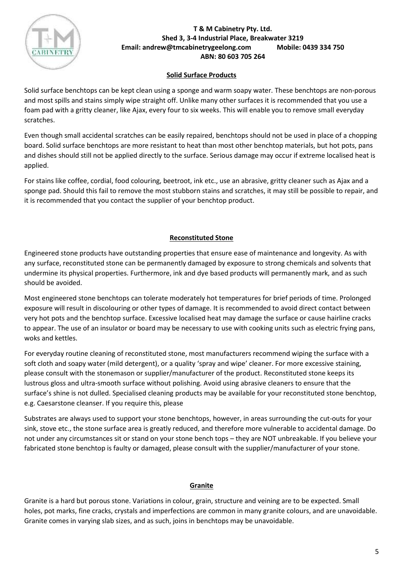

# **Solid Surface Products**

Solid surface benchtops can be kept clean using a sponge and warm soapy water. These benchtops are non-porous and most spills and stains simply wipe straight off. Unlike many other surfaces it is recommended that you use a foam pad with a gritty cleaner, like Ajax, every four to six weeks. This will enable you to remove small everyday scratches.

Even though small accidental scratches can be easily repaired, benchtops should not be used in place of a chopping board. Solid surface benchtops are more resistant to heat than most other benchtop materials, but hot pots, pans and dishes should still not be applied directly to the surface. Serious damage may occur if extreme localised heat is applied.

For stains like coffee, cordial, food colouring, beetroot, ink etc., use an abrasive, gritty cleaner such as Ajax and a sponge pad. Should this fail to remove the most stubborn stains and scratches, it may still be possible to repair, and it is recommended that you contact the supplier of your benchtop product.

# **Reconstituted Stone**

Engineered stone products have outstanding properties that ensure ease of maintenance and longevity. As with any surface, reconstituted stone can be permanently damaged by exposure to strong chemicals and solvents that undermine its physical properties. Furthermore, ink and dye based products will permanently mark, and as such should be avoided.

Most engineered stone benchtops can tolerate moderately hot temperatures for brief periods of time. Prolonged exposure will result in discolouring or other types of damage. It is recommended to avoid direct contact between very hot pots and the benchtop surface. Excessive localised heat may damage the surface or cause hairline cracks to appear. The use of an insulator or board may be necessary to use with cooking units such as electric frying pans, woks and kettles.

For everyday routine cleaning of reconstituted stone, most manufacturers recommend wiping the surface with a soft cloth and soapy water (mild detergent), or a quality 'spray and wipe' cleaner. For more excessive staining, please consult with the stonemason or supplier/manufacturer of the product. Reconstituted stone keeps its lustrous gloss and ultra-smooth surface without polishing. Avoid using abrasive cleaners to ensure that the surface's shine is not dulled. Specialised cleaning products may be available for your reconstituted stone benchtop, e.g. Caesarstone cleanser. If you require this, please

Substrates are always used to support your stone benchtops, however, in areas surrounding the cut-outs for your sink, stove etc., the stone surface area is greatly reduced, and therefore more vulnerable to accidental damage. Do not under any circumstances sit or stand on your stone bench tops – they are NOT unbreakable. If you believe your fabricated stone benchtop is faulty or damaged, please consult with the supplier/manufacturer of your stone.

## **Granite**

Granite is a hard but porous stone. Variations in colour, grain, structure and veining are to be expected. Small holes, pot marks, fine cracks, crystals and imperfections are common in many granite colours, and are unavoidable. Granite comes in varying slab sizes, and as such, joins in benchtops may be unavoidable.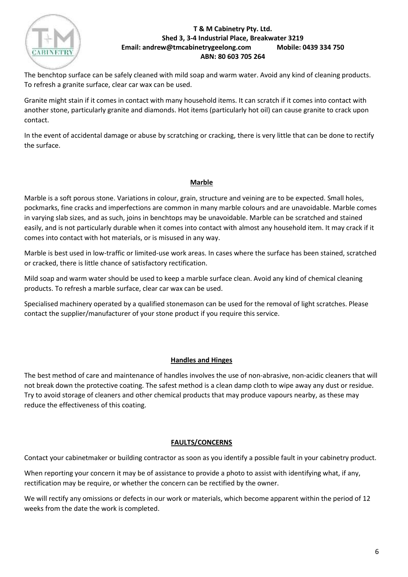

The benchtop surface can be safely cleaned with mild soap and warm water. Avoid any kind of cleaning products. To refresh a granite surface, clear car wax can be used.

Granite might stain if it comes in contact with many household items. It can scratch if it comes into contact with another stone, particularly granite and diamonds. Hot items (particularly hot oil) can cause granite to crack upon contact.

In the event of accidental damage or abuse by scratching or cracking, there is very little that can be done to rectify the surface.

# **Marble**

Marble is a soft porous stone. Variations in colour, grain, structure and veining are to be expected. Small holes, pockmarks, fine cracks and imperfections are common in many marble colours and are unavoidable. Marble comes in varying slab sizes, and as such, joins in benchtops may be unavoidable. Marble can be scratched and stained easily, and is not particularly durable when it comes into contact with almost any household item. It may crack if it comes into contact with hot materials, or is misused in any way.

Marble is best used in low-traffic or limited-use work areas. In cases where the surface has been stained, scratched or cracked, there is little chance of satisfactory rectification.

Mild soap and warm water should be used to keep a marble surface clean. Avoid any kind of chemical cleaning products. To refresh a marble surface, clear car wax can be used.

Specialised machinery operated by a qualified stonemason can be used for the removal of light scratches. Please contact the supplier/manufacturer of your stone product if you require this service.

## **Handles and Hinges**

The best method of care and maintenance of handles involves the use of non-abrasive, non-acidic cleaners that will not break down the protective coating. The safest method is a clean damp cloth to wipe away any dust or residue. Try to avoid storage of cleaners and other chemical products that may produce vapours nearby, as these may reduce the effectiveness of this coating.

## **FAULTS/CONCERNS**

Contact your cabinetmaker or building contractor as soon as you identify a possible fault in your cabinetry product.

When reporting your concern it may be of assistance to provide a photo to assist with identifying what, if any, rectification may be require, or whether the concern can be rectified by the owner.

We will rectify any omissions or defects in our work or materials, which become apparent within the period of 12 weeks from the date the work is completed.